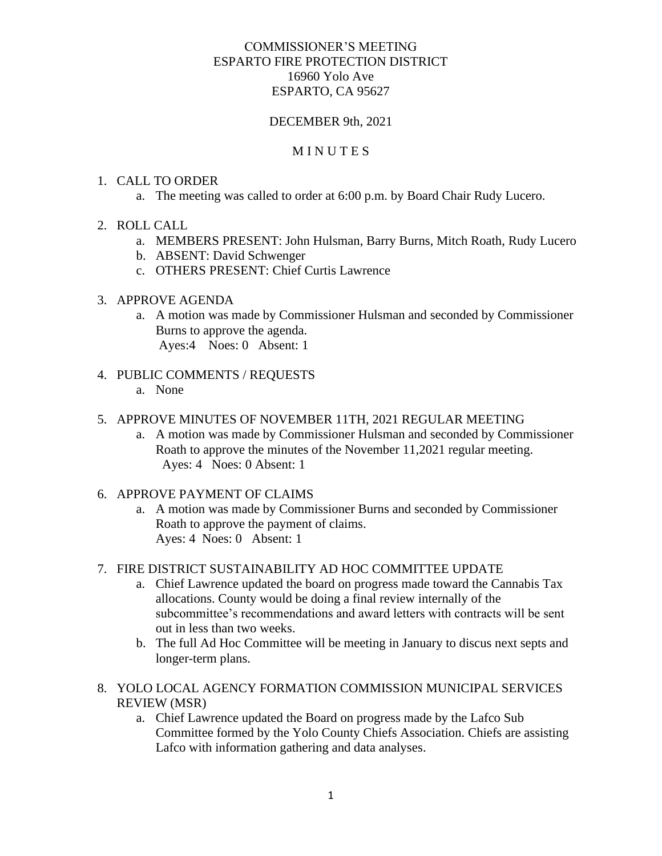# COMMISSIONER'S MEETING ESPARTO FIRE PROTECTION DISTRICT 16960 Yolo Ave ESPARTO, CA 95627

# DECEMBER 9th, 2021

### **MINUTES**

### 1. CALL TO ORDER

- a. The meeting was called to order at 6:00 p.m. by Board Chair Rudy Lucero.
- 2. ROLL CALL
	- a. MEMBERS PRESENT: John Hulsman, Barry Burns, Mitch Roath, Rudy Lucero
	- b. ABSENT: David Schwenger
	- c. OTHERS PRESENT: Chief Curtis Lawrence

#### 3. APPROVE AGENDA

a. A motion was made by Commissioner Hulsman and seconded by Commissioner Burns to approve the agenda. Ayes:4 Noes: 0 Absent: 1

#### 4. PUBLIC COMMENTS / REQUESTS

a. None

### 5. APPROVE MINUTES OF NOVEMBER 11TH, 2021 REGULAR MEETING

- a. A motion was made by Commissioner Hulsman and seconded by Commissioner Roath to approve the minutes of the November 11,2021 regular meeting. Ayes: 4 Noes: 0 Absent: 1
- 6. APPROVE PAYMENT OF CLAIMS
	- a. A motion was made by Commissioner Burns and seconded by Commissioner Roath to approve the payment of claims. Ayes: 4 Noes: 0 Absent: 1

# 7. FIRE DISTRICT SUSTAINABILITY AD HOC COMMITTEE UPDATE

- a. Chief Lawrence updated the board on progress made toward the Cannabis Tax allocations. County would be doing a final review internally of the subcommittee's recommendations and award letters with contracts will be sent out in less than two weeks.
- b. The full Ad Hoc Committee will be meeting in January to discus next septs and longer-term plans.
- 8. YOLO LOCAL AGENCY FORMATION COMMISSION MUNICIPAL SERVICES REVIEW (MSR)
	- a. Chief Lawrence updated the Board on progress made by the Lafco Sub Committee formed by the Yolo County Chiefs Association. Chiefs are assisting Lafco with information gathering and data analyses.